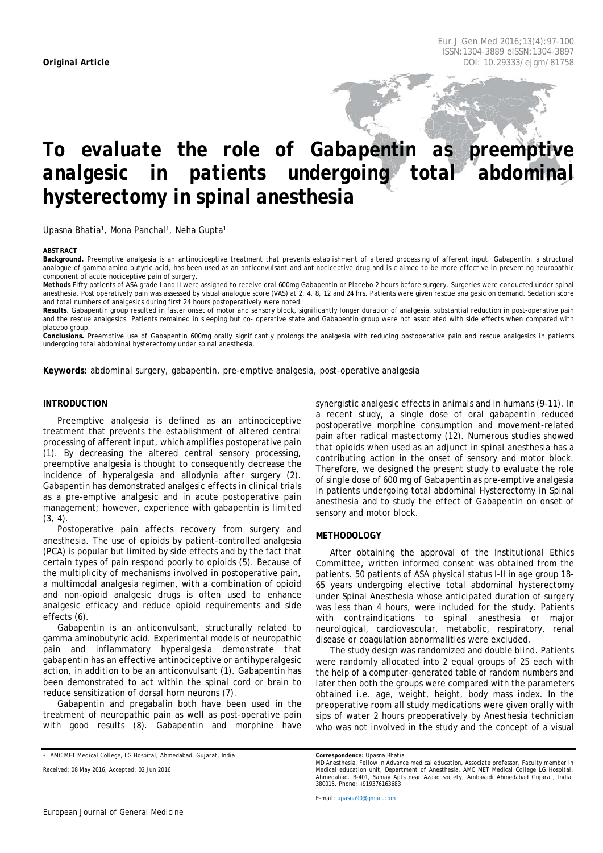# *To evaluate the role of Gabapentin as preemptive analgesic in patients undergoing total abdominal hysterectomy in spinal anesthesia*

Upasna Bhatia<sup>1</sup>, Mona Panchal<sup>1</sup>, Neha Gupta<sup>1</sup>

#### <span id="page-0-0"></span>*ABSTRACT*

**Background.** Preemptive analgesia is an antinociceptive treatment that prevents establishment of altered processing of afferent input. Gabapentin, a structural analogue of gamma-amino butyric acid, has been used as an anticonvulsant and antinociceptive drug and is claimed to be more effective in preventing neuropathic component of acute nociceptive pain of surgery.

**Methods** Fifty patients of ASA grade I and II were assigned to receive oral 600mg Gabapentin or Placebo 2 hours before surgery. Surgeries were conducted under spinal anesthesia. Post operatively pain was assessed by visual analogue score (VAS) at 2, 4, 8, 12 and 24 hrs. Patients were given rescue analgesic on demand. Sedation score and total numbers of analgesics during first 24 hours postoperatively were noted.

Results. Gabapentin group resulted in faster onset of motor and sensory block, significantly longer duration of analgesia, substantial reduction in post-operative pain and the rescue analgesics. Patients remained in sleeping but co- operative state and Gabapentin group were not associated with side effects when compared with placebo group.

**Conclusions.** Preemptive use of Gabapentin 600mg orally significantly prolongs the analgesia with reducing postoperative pain and rescue analgesics in patients undergoing total abdominal hysterectomy under spinal anesthesia.

**Keywords:** abdominal surgery, gabapentin, pre-emptive analgesia, post-operative analgesia

# **INTRODUCTION**

Preemptive analgesia is defined as an antinociceptive treatment that prevents the establishment of altered central processing of afferent input, which amplifies postoperative pain (1). By decreasing the altered central sensory processing, preemptive analgesia is thought to consequently decrease the incidence of hyperalgesia and allodynia after surgery (2). Gabapentin has demonstrated analgesic effects in clinical trials as a pre-emptive analgesic and in acute postoperative pain management; however, experience with gabapentin is limited  $(3, 4)$ .

Postoperative pain affects recovery from surgery and anesthesia. The use of opioids by patient-controlled analgesia (PCA) is popular but limited by side effects and by the fact that certain types of pain respond poorly to opioids (5). Because of the multiplicity of mechanisms involved in postoperative pain, a multimodal analgesia regimen, with a combination of opioid and non-opioid analgesic drugs is often used to enhance analgesic efficacy and reduce opioid requirements and side effects (6).

Gabapentin is an anticonvulsant, structurally related to gamma aminobutyric acid. Experimental models of neuropathic pain and inflammatory hyperalgesia demonstrate that gabapentin has an effective antinociceptive or antihyperalgesic action, in addition to be an anticonvulsant (1). Gabapentin has been demonstrated to act within the spinal cord or brain to reduce sensitization of dorsal horn neurons (7).

Gabapentin and pregabalin both have been used in the treatment of neuropathic pain as well as post-operative pain with good results (8). Gabapentin and morphine have

*Received: 08 May 2016, Accepted: 02 Jun 2016*

synergistic analgesic effects in animals and in humans (9-11). In a recent study, a single dose of oral gabapentin reduced postoperative morphine consumption and movement-related pain after radical mastectomy (12). Numerous studies showed that opioids when used as an adjunct in spinal anesthesia has a contributing action in the onset of sensory and motor block. Therefore, we designed the present study to evaluate the role of single dose of 600 mg of Gabapentin as pre-emptive analgesia in patients undergoing total abdominal Hysterectomy in Spinal anesthesia and to study the effect of Gabapentin on onset of sensory and motor block.

## **METHODOLOGY**

After obtaining the approval of the Institutional Ethics Committee, written informed consent was obtained from the patients. 50 patients of ASA physical status I-II in age group 18- 65 years undergoing elective total abdominal hysterectomy under Spinal Anesthesia whose anticipated duration of surgery was less than 4 hours, were included for the study. Patients with contraindications to spinal anesthesia or major neurological, cardiovascular, metabolic, respiratory, renal disease or coagulation abnormalities were excluded.

The study design was randomized and double blind. Patients were randomly allocated into 2 equal groups of 25 each with the help of a computer-generated table of random numbers and later then both the groups were compared with the parameters obtained i.e. age, weight, height, body mass index. In the preoperative room all study medications were given orally with sips of water 2 hours preoperatively by Anesthesia technician who was not involved in the study and the concept of a visual

*E-mail[: upasna90@gmail.com](mailto:upasna90@gmail.com)*

*<sup>1</sup> AMC MET Medical College, LG Hospital, Ahmedabad, Gujarat, India*

Correspondence: Upasna Bhatia<br>MD Anesthesia, Fellow in Advance medical education, Associate professor, Faculty member in<br>Medical education unit, Department of Anesthesia, AMC MET Medical College LG Hospital, *Ahmedabad. B-401, Samay Apts near Azaad society, Ambavadi Ahmedabad Gujarat, India, 380015. Phone: +919376163683*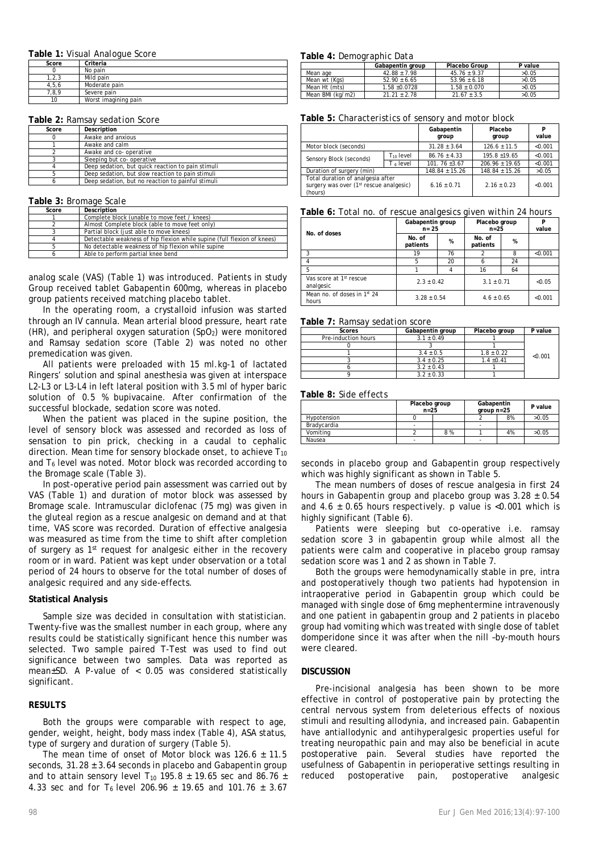## **Table 1:** *Visual Analogue Score*

| Score   | Criteria             |
|---------|----------------------|
|         | No pain              |
| 1.2.3   | Mild pain            |
| 4, 5, 6 | Moderate pain        |
| 7,8,9   | Severe pain          |
| 10      | Worst imagining pain |

### **Table 2:** *Ramsay sedation Score*

| Score | Description                                       |
|-------|---------------------------------------------------|
|       | Awake and anxious                                 |
|       | Awake and calm                                    |
|       | Awake and co- operative                           |
|       | Sleeping but co- operative                        |
|       | Deep sedation, but quick reaction to pain stimuli |
|       | Deep sedation, but slow reaction to pain stimuli  |
|       | Deep sedation, but no reaction to painful stimuli |

### **Table 3:** *Bromage Scale*

| Score | Description                                                             |
|-------|-------------------------------------------------------------------------|
|       | Complete block (unable to move feet / knees)                            |
|       | Almost Complete block (able to move feet only)                          |
|       | Partial block (just able to move knees)                                 |
|       | Detectable weakness of hip flexion while supine (full flexion of knees) |
|       | No detectable weakness of hip flexion while supine                      |
|       | Able to perform partial knee bend                                       |

analog scale (VAS) (Table 1) was introduced. Patients in study Group received tablet Gabapentin 600mg, whereas in placebo group patients received matching placebo tablet.

In the operating room, a crystalloid infusion was started through an IV cannula. Mean arterial blood pressure, heart rate  $(HR)$ , and peripheral oxygen saturation  $(SpO<sub>2</sub>)$  were monitored and Ramsay sedation score (Table 2) was noted no other premedication was given.

All patients were preloaded with 15 ml.kg-1 of lactated Ringers' solution and spinal anesthesia was given at interspace L2-L3 or L3-L4 in left lateral position with 3.5 ml of hyper baric solution of 0.5 % bupivacaine. After confirmation of the successful blockade, sedation score was noted.

When the patient was placed in the supine position, the level of sensory block was assessed and recorded as loss of sensation to pin prick, checking in a caudal to cephalic direction. Mean time for sensory blockade onset, to achieve  $T_{10}$ and  $T<sub>6</sub>$  level was noted. Motor block was recorded according to the Bromage scale (Table 3).

In post-operative period pain assessment was carried out by VAS (Table 1) and duration of motor block was assessed by Bromage scale. Intramuscular diclofenac (75 mg) was given in the gluteal region as a rescue analgesic on demand and at that time, VAS score was recorded. Duration of effective analgesia was measured as time from the time to shift after completion of surgery as 1st request for analgesic either in the recovery room or in ward. Patient was kept under observation or a total period of 24 hours to observe for the total number of doses of analgesic required and any side-effects.

## **Statistical Analysis**

Sample size was decided in consultation with statistician. Twenty-five was the smallest number in each group, where any results could be statistically significant hence this number was selected. Two sample paired T-Test was used to find out significance between two samples. Data was reported as mean±SD. A *P*-value of < 0.05 was considered statistically significant.

# **RESULTS**

Both the groups were comparable with respect to age, gender, weight, height, body mass index (Table 4), ASA status, type of surgery and duration of surgery (Table 5).

The mean time of onset of Motor block was  $126.6 \pm 11.5$ seconds,  $31.28 \pm 3.64$  seconds in placebo and Gabapentin group and to attain sensory level T<sub>10</sub> 195.8  $\pm$  19.65 sec and 86.76  $\pm$ 4.33 sec and for T<sub>6</sub> level 206.96  $\pm$  19.65 and 101.76  $\pm$  3.67

## **Table 4:** *Demographic Data*

|                  | Gabapentin group | Placebo Group    | P value |
|------------------|------------------|------------------|---------|
| Mean age         | $42.88 + 7.98$   | $45.76 \pm 9.37$ | >0.05   |
| Mean wt (Kas)    | $52.90 \pm 6.65$ | $53.96 \pm 6.18$ | >0.05   |
| Mean Ht (mts)    | $1.58 + 0.0728$  | $1.58 \pm 0.070$ | >0.05   |
| Mean BMI (kg/m2) | $21.21 + 2.78$   | $21.67 \pm 3.5$  | >0.05   |

**Table 5:** *Characteristics of sensory and motor block*

|                                                                                         |                       | Gabapentin<br>group | Placebo<br>group   | P<br>value |
|-----------------------------------------------------------------------------------------|-----------------------|---------------------|--------------------|------------|
| Motor block (seconds)                                                                   |                       | $31.28 + 3.64$      | $126.6 + 11.5$     | < 0.001    |
| Sensory Block (seconds)                                                                 | T <sub>10</sub> level | $86.76 \pm 4.33$    | $195.8 + 19.65$    | < 0.001    |
|                                                                                         | T <sub>6</sub> level  | $101.76 + 3.67$     | $206.96 + 19.65$   | < 0.001    |
| Duration of surgery (min)                                                               |                       | $148.84 \pm 15.26$  | $148.84 \pm 15.26$ | >0.05      |
| Total duration of analgesia after<br>surgery was over (1st rescue analgesic)<br>(hours) |                       | $6.16 + 0.71$       | $2.16 \pm 0.23$    | < 0.001    |

### **Table 6:** *Total no. of rescue analgesics given within 24 hours*

|                                                  | Gabapentin group<br>$n = 25$ |    | Placebo group<br>$n = 25$ |    | P<br>value |
|--------------------------------------------------|------------------------------|----|---------------------------|----|------------|
| No. of doses                                     | No. of<br>patients           | %  | No. of<br>patients        | %  |            |
| 3                                                | 19                           | 76 | 2                         | 8  | < 0.001    |
| 4                                                | 5                            | 20 | 6                         | 24 |            |
| 5                                                |                              |    | 16                        | 64 |            |
| Vas score at 1 <sup>st</sup> rescue<br>analgesic | $2.3 + 0.42$                 |    | $3.1 \pm 0.71$            |    | < 0.05     |
| Mean no. of doses in 1st 24<br>hours             | $3.28 + 0.54$                |    | $4.6 \pm 0.65$            |    | < 0.001    |

#### **Table 7:** *Ramsay sedation score*

| Scores              | Gabapentin group | Placebo group  | P value |
|---------------------|------------------|----------------|---------|
| Pre-induction hours | $3.1 \pm 0.49$   |                |         |
|                     |                  |                |         |
|                     | $3.4 \pm 0.5$    | $1.8 \pm 0.22$ | < 0.001 |
|                     | $3.4 \pm 0.25$   | $1.4 \pm 0.41$ |         |
|                     | $3.2 \pm 0.43$   |                |         |
|                     | $3.2 \pm 0.33$   |                |         |

### **Table 8:** *Side effects*

|             | Placebo group<br>$n = 25$ |    | Gabapentin<br>$qroup n=25$ |    | P value |
|-------------|---------------------------|----|----------------------------|----|---------|
| Hypotension |                           |    |                            | 8% | >0.05   |
| Bradycardia | ٠                         |    | $\overline{\phantom{a}}$   |    |         |
| Vomitina    |                           | 8% |                            | 4% | >0.05   |
| Nausea      | ۰                         |    | ۰                          |    |         |

seconds in placebo group and Gabapentin group respectively which was highly significant as shown in Table 5.

The mean numbers of doses of rescue analgesia in first 24 hours in Gabapentin group and placebo group was  $3.28 \pm 0.54$ and  $4.6 \pm 0.65$  hours respectively. p value is <0.001 which is highly significant (Table 6).

Patients were sleeping but co-operative i.e. ramsay sedation score 3 in gabapentin group while almost all the patients were calm and cooperative in placebo group ramsay sedation score was 1 and 2 as shown in Table 7.

Both the groups were hemodynamically stable in pre, intra and postoperatively though two patients had hypotension in intraoperative period in Gabapentin group which could be managed with single dose of 6mg mephentermine intravenously and one patient in gabapentin group and 2 patients in placebo group had vomiting which was treated with single dose of tablet domperidone since it was after when the nill –by-mouth hours were cleared.

# **DISCUSSION**

Pre-incisional analgesia has been shown to be more effective in control of postoperative pain by protecting the central nervous system from deleterious effects of noxious stimuli and resulting allodynia, and increased pain. Gabapentin have antiallodynic and antihyperalgesic properties useful for treating neuropathic pain and may also be beneficial in acute postoperative pain. Several studies have reported the usefulness of Gabapentin in perioperative settings resulting in reduced postoperative pain, postoperative analgesic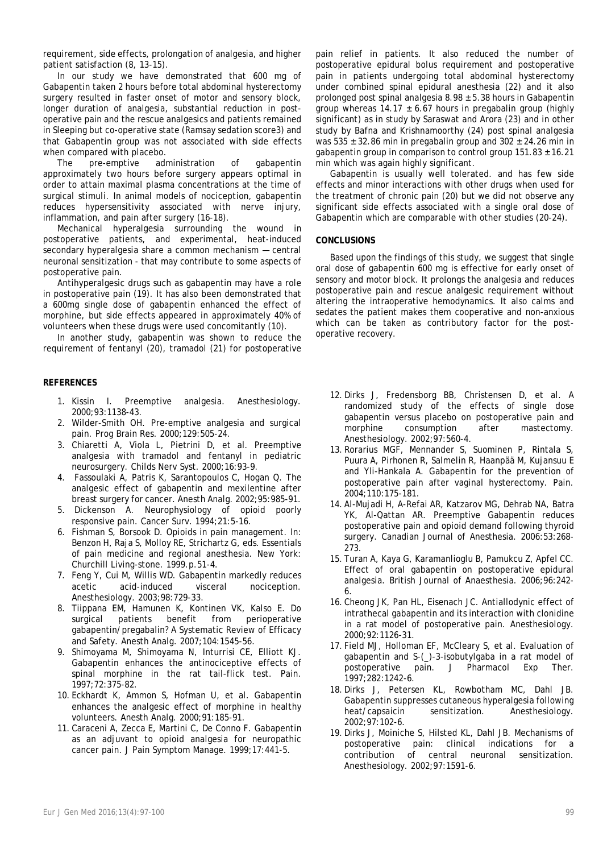requirement, side effects, prolongation of analgesia, and higher patient satisfaction (8, 13-15).

In our study we have demonstrated that 600 mg of Gabapentin taken 2 hours before total abdominal hysterectomy surgery resulted in faster onset of motor and sensory block, longer duration of analgesia, substantial reduction in postoperative pain and the rescue analgesics and patients remained in Sleeping but co-operative state (Ramsay sedation score3) and that Gabapentin group was not associated with side effects when compared with placebo.

The pre-emptive administration of gabapentin approximately two hours before surgery appears optimal in order to attain maximal plasma concentrations at the time of surgical stimuli. In animal models of nociception, gabapentin reduces hypersensitivity associated with nerve injury, inflammation, and pain after surgery (16-18).

Mechanical hyperalgesia surrounding the wound in postoperative patients, and experimental, heat-induced secondary hyperalgesia share a common mechanism — central neuronal sensitization - that may contribute to some aspects of postoperative pain.

Antihyperalgesic drugs such as gabapentin may have a role in postoperative pain (19). It has also been demonstrated that a 600mg single dose of gabapentin enhanced the effect of morphine, but side effects appeared in approximately 40% of volunteers when these drugs were used concomitantly (10).

In another study, gabapentin was shown to reduce the requirement of fentanyl (20), tramadol (21) for postoperative

# **REFERENCES**

- 1. Kissin I. Preemptive analgesia. Anesthesiology. 2000;93:1138-43.
- 2. Wilder-Smith OH. Pre-emptive analgesia and surgical pain. Prog Brain Res. 2000;129:505-24.
- 3. Chiaretti A, Viola L, Pietrini D, et al. Preemptive analgesia with tramadol and fentanyl in pediatric neurosurgery. Childs Nerv Syst. 2000;16:93-9.
- 4. Fassoulaki A, Patris K, Sarantopoulos C, Hogan Q. The analgesic effect of gabapentin and mexilentine after breast surgery for cancer. Anesth Analg. 2002;95:985-91.
- 5. Dickenson A. Neurophysiology of opioid poorly responsive pain. Cancer Surv. 1994;21:5-16.
- 6. Fishman S, Borsook D. Opioids in pain management. In: Benzon H, Raja S, Molloy RE, Strichartz G, eds. Essentials of pain medicine and regional anesthesia. New York: Churchill Living-stone. 1999.p.51-4.
- 7. Feng Y, Cui M, Willis WD. Gabapentin markedly reduces acetic acid-induced visceral nociception. Anesthesiology. 2003;98:729-33.
- 8. Tiippana EM, Hamunen K, Kontinen VK, Kalso E. Do surgical patients benefit from perioperative gabapentin/pregabalin? A Systematic Review of Efficacy and Safety. Anesth Analg. 2007;104:1545-56.
- 9. Shimoyama M, Shimoyama N, Inturrisi CE, Elliott KJ. Gabapentin enhances the antinociceptive effects of spinal morphine in the rat tail-flick test. Pain. 1997;72:375-82.
- 10. Eckhardt K, Ammon S, Hofman U, et al. Gabapentin enhances the analgesic effect of morphine in healthy volunteers. Anesth Analg. 2000;91:185-91.
- 11. Caraceni A, Zecca E, Martini C, De Conno F. Gabapentin as an adjuvant to opioid analgesia for neuropathic cancer pain. J Pain Symptom Manage. 1999;17:441-5.

pain relief in patients. It also reduced the number of postoperative epidural bolus requirement and postoperative pain in patients undergoing total abdominal hysterectomy under combined spinal epidural anesthesia (22) and it also prolonged post spinal analgesia  $8.98 \pm 5.38$  hours in Gabapentin group whereas  $14.17 \pm 6.67$  hours in pregabalin group (highly significant) as in study by Saraswat and Arora (23) and in other study by Bafna and Krishnamoorthy (24) post spinal analgesia was  $535 \pm 32.86$  min in pregabalin group and  $302 \pm 24.26$  min in gabapentin group in comparison to control group  $151.83 \pm 16.21$ min which was again highly significant.

Gabapentin is usually well tolerated. and has few side effects and minor interactions with other drugs when used for the treatment of chronic pain (20) but we did not observe any significant side effects associated with a single oral dose of Gabapentin which are comparable with other studies (20-24).

# **CONCLUSIONS**

Based upon the findings of this study, we suggest that single oral dose of gabapentin 600 mg is effective for early onset of sensory and motor block. It prolongs the analgesia and reduces postoperative pain and rescue analgesic requirement without altering the intraoperative hemodynamics. It also calms and sedates the patient makes them cooperative and non-anxious which can be taken as contributory factor for the postoperative recovery.

- 12. Dirks J, Fredensborg BB, Christensen D, et al. A randomized study of the effects of single dose gabapentin versus placebo on postoperative pain and morphine consumption after mastectomy. Anesthesiology. 2002;97:560-4.
- 13. Rorarius MGF, Mennander S, Suominen P, Rintala S, Puura A, Pirhonen R, Salmelin R, Haanpää M, Kujansuu E and Yli-Hankala A. Gabapentin for the prevention of postoperative pain after vaginal hysterectomy. Pain. 2004;110:175-181.
- 14. Al-Mujadi H, A-Refai AR, Katzarov MG, Dehrab NA, Batra YK, Al-Qattan AR. Preemptive Gabapentin reduces postoperative pain and opioid demand following thyroid surgery. Canadian Journal of Anesthesia. 2006:53:268- 273.
- 15. Turan A, Kaya G, Karamanlioglu B, Pamukcu Z, Apfel CC. Effect of oral gabapentin on postoperative epidural analgesia. British Journal of Anaesthesia. 2006;96:242- 6.
- 16. Cheong JK, Pan HL, Eisenach JC. Antiallodynic effect of intrathecal gabapentin and its interaction with clonidine in a rat model of postoperative pain. Anesthesiology. 2000;92:1126-31.
- 17. Field MJ, Holloman EF, McCleary S, et al. Evaluation of gabapentin and S-(\_)-3-isobutylgaba in a rat model of postoperative pain. J Pharmacol Exp Ther. 1997;282:1242-6.
- 18. Dirks J, Petersen KL, Rowbotham MC, Dahl JB. Gabapentin suppresses cutaneous hyperalgesia following heat/capsaicin sensitization. Anesthesiology. 2002;97:102-6.
- 19. Dirks J, Moiniche S, Hilsted KL, Dahl JB. Mechanisms of postoperative pain: clinical indications for a contribution of central neuronal sensitization. Anesthesiology. 2002;97:1591-6.